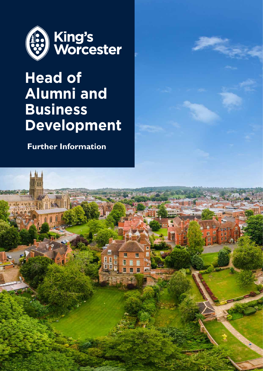

### **Head of Alumni and Business Development**

 **Further Information**

Ħ

日田田 E

冊

西田

围

il<br>Il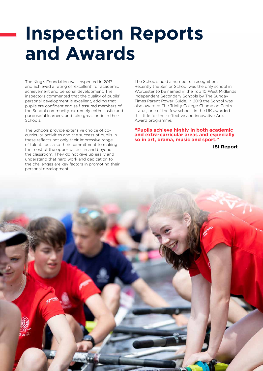## **Inspection Reports and Awards**

The King's Foundation was inspected in 2017 and achieved a rating of 'excellent' for academic achievement and personal development. The inspectors commented that the quality of pupils' personal development is excellent, adding that pupils are confident and self-assured members of the School community, extremely enthusiastic and purposeful learners, and take great pride in their Schools.

The Schools provide extensive choice of cocurricular activities and the success of pupils in these reflects not only their impressive range of talents but also their commitment to making the most of the opportunities in and beyond the classroom. They do not give up easily and understand that hard work and dedication to the challenges are key factors in promoting their personal development.

The Schools hold a number of recognitions. Recently the Senior School was the only school in Worcester to be named in the Top 10 West Midlands Independent Secondary Schools by The Sunday Times Parent Power Guide. In 2019 the School was also awarded The Trinity College Champion Centre status, one of the few schools in the UK awarded this title for their effective and innovative Arts Award programme.

**"Pupils achieve highly in both academic and extra-curricular areas and especially so in art, drama, music and sport."**

**ISI Report**

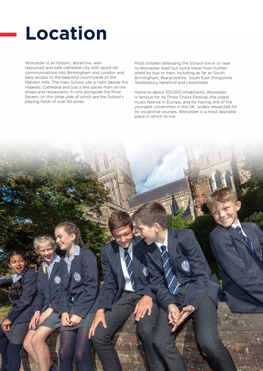### **Location**

Worcester is an historic, attractive, wellresourced and safe cathedral city with good rail communications into Birmingham and London and easy access to the beautiful countryside of the Malvern Hills. The main School site is right beside the majestic Cathedral and just a few paces from all the shops and restaurants. It runs alongside the River Severn, on the other side of which are the School's playing fields of over 50 acres.

Most children attending the School live in or near to Worcester itself but some travel from further afield by bus or train, including as far as South Birmingham, Warwickshire, South East Shropshire, Tewkesbury, Hereford and Leominster.

Home to about 100,000 inhabitants, Worcester is famous for its Three Choirs Festival, the oldest music festival in Europe, and for having one of the youngest universities in the UK, widely respected for its vocational courses. Worcester is a most desirable place in which to live.

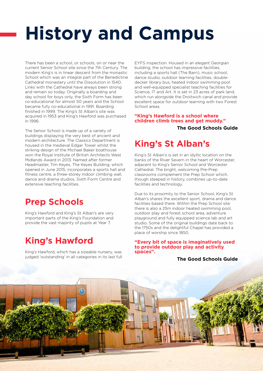# **History and Campus**

There has been a school, or schools, on or near the current Senior School site since the 7th Century. The modern King's is in linear descent from the monastic School which was an integral part of the Benedictine Cathedral monastery until the Dissolution in 1540. Links with the Cathedral have always been strong and remain so today. Originally a boarding and day school for boys only, the Sixth Form has been co-educational for almost 50 years and the School became fully co-educational in 1991. Boarding finished in 1999. The King's St Alban's site was acquired in 1953 and King's Hawford was purchased in 1996.

The Senior School is made up of a variety of buildings displaying the very best of ancient and modern architecture. The Classics Department is housed in the medieval Edgar Tower whilst the striking design of the Michael Baker boathouse won the Royal Institute of British Architects West Midlands Award in 2013. Named after former Headmaster, Tim Keyes, The Keyes Building, which opened in June 2015, incorporates a sports hall and fitness centre, a three-storey indoor climbing wall, dance and drama studios, Sixth Form Centre and extensive teaching facilities.

### **Prep Schools**

King's Hawford and King's St Alban's are very important parts of the King's Foundation and provide the vast majority of pupils at Year 7.

### **King's Hawford**

King's Hawford, which has a sizeable nursery, was judged 'outstanding' in all categories in its last full

EYFS inspection. Housed in an elegant Georgian building, the school has impressive facilities, including a sports hall (The Barn), music school, dance studio, outdoor learning facilities, doubledecker library bus, heated indoor swimming pool and well-equipped specialist teaching facilities for Science, IT and Art. It is set in 23 acres of park land, which run alongside the Droitwich canal and provide excellent space for outdoor learning with two Forest School areas.

#### **"King's Hawford is a school where children climb trees and get muddy." The Good Schools Guide**

### **King's St Alban's**

King's St Alban's is set in an idyllic location on the banks of the River Severn in the heart of Worcester, adjacent to King's Senior School and Worcester Cathedral. The bright, welcoming Pre-Prep classrooms complement the Prep School which, though steeped in history, combines up-to-date facilities and technology.

Due to its proximity to the Senior School, King's St Alban's shares the excellent sport, drama and dance facilities based there. Within the Prep School site there is also a 25m indoor heated swimming pool, outdoor play and forest school area, adventure playground and fully equipped science lab and art studio. Some of the original buildings date back to the 1750s and the delightful Chapel has provided a place of worship since 1850.

**"Every bit of space is imaginatively used to provide outdoor play and activity spaces".**

**The Good Schools Guide**

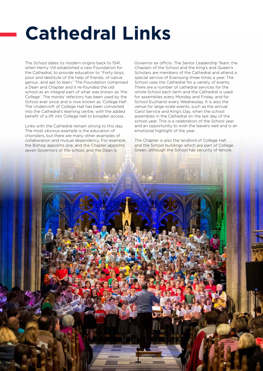# **Cathedral Links**

The School dates its modern origins back to 1541, when Henry VIII established a new Foundation for the Cathedral, to provide education to "Forty boys, poor and destitute of the help of friends, of native genius…and apt to learn." The Foundation comprised a Dean and Chapter and it re-founded the old school as an integral part of what was known as 'the College'. The monks' refectory has been used by the School ever since and is now known as 'College Hall'. The Undercroft of College Hall has been converted into the Cathedral's learning centre, with the added benefit of a lift into College Hall to broaden access.

Links with the Cathedral remain strong to this day. The most obvious example is the education of choristers, but there are many other examples of collaboration and mutual dependency. For example, the Bishop appoints one, and the Chapter appoints seven Governors of the school, and the Dean is

Governor ex officio. The Senior Leadership Team, the Chaplain of the School and the King's and Queen's Scholars are members of the Cathedral and attend a special service of Evensong three times a year. The School uses the Cathedral for a variety of events. There are a number of cathedral services for the whole School each term and the Cathedral is used for assemblies every Monday and Friday, and for School Eucharist every Wednesday. It is also the venue for large-scale events, such as the annual Carol Service and King's Day, when the school assembles in the Cathedral on the last day of the school year. This is a celebration of the School year and an opportunity to wish the leavers well and is an emotional highlight of the year.

The Chapter is also the landlord of College Hall and the School buildings which are part of College Green, although the School has security of tenure.

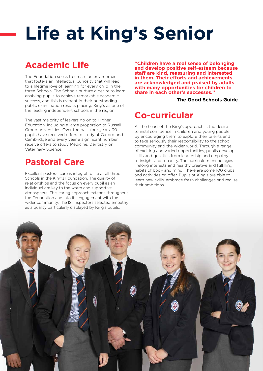# **Life at King's Senior**

### **Academic Life**

The Foundation seeks to create an environment that fosters an intellectual curiosity that will lead to a lifetime love of learning for every child in the three Schools. The Schools nurture a desire to learn, enabling pupils to achieve remarkable academic success, and this is evident in their outstanding public examination results placing, King's as one of the leading independent schools in the region.

The vast majority of leavers go on to Higher Education, including a large proportion to Russell Group universities. Over the past four years, 30 pupils have received offers to study at Oxford and Cambridge and every year a significant number receive offers to study Medicine, Dentistry or Veterinary Science.

#### **Pastoral Care**

Excellent pastoral care is integral to life at all three Schools in the King's Foundation. The quality of relationships and the focus on every pupil as an individual are key to the warm and supportive atmosphere. This caring approach extends throughout the Foundation and into its engagement with the wider community. The ISI inspectors selected empathy as a quality particularly displayed by King's pupils.

**"Children have a real sense of belonging and develop positive self-esteem because staff are kind, reassuring and interested in them. Their efforts and achievements are acknowledged and praised by adults with many opportunities for children to share in each other's successes."** 

#### **The Good Schools Guide**

#### **Co-curricular**

At the heart of the King's approach is the desire to instil confidence in children and young people by encouraging them to explore their talents and to take seriously their responsibility to the school community and the wider world. Through a range of exciting and varied opportunities, pupils develop skills and qualities from leadership and empathy to insight and tenacity. The curriculum encourages lifelong interests and healthy creative and fulfilling habits of body and mind. There are some 100 clubs and activities on offer. Pupils at King's are able to learn new skills, embrace fresh challenges and realise their ambitions.

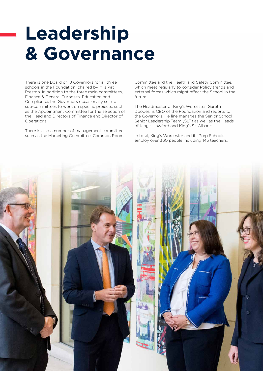## **Leadership & Governance**

There is one Board of 18 Governors for all three schools in the Foundation, chaired by Mrs Pat Preston. In addition to the three main committees, Finance & General Purposes, Education and Compliance, the Governors occasionally set up sub-committees to work on specific projects, such as the Appointment Committee for the selection of the Head and Directors of Finance and Director of Operations.

There is also a number of management committees such as the Marketing Committee, Common Room

Committee and the Health and Safety Committee, which meet regularly to consider Policy trends and external forces which might affect the School in the future.

The Headmaster of King's Worcester, Gareth Doodes, is CEO of the Foundation and reports to the Governors. He line manages the Senior School Senior Leadership Team (SLT) as well as the Heads of King's Hawford and King's St. Alban's.

In total, King's Worcester and its Prep Schools employ over 360 people including 145 teachers.